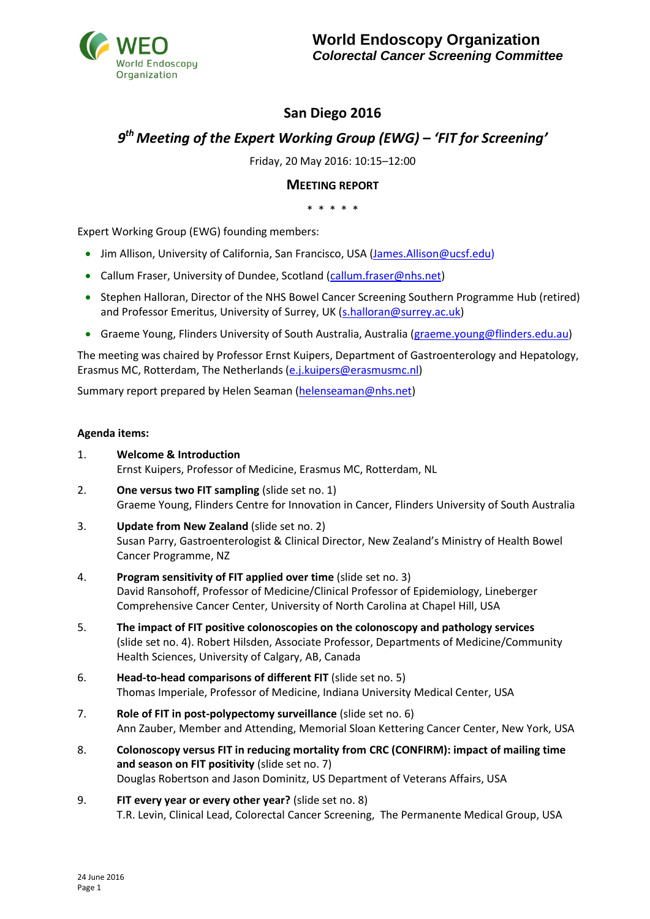

## **San Diego 2016**

# *9 th Meeting of the Expert Working Group (EWG) – 'FIT for Screening'*

Friday, 20 May 2016: 10:15–12:00

## **MEETING REPORT**

\* \* \* \* \*

Expert Working Group (EWG) founding members:

- Jim Allison, University of California, San Francisco, USA [\(James.Allison@ucsf.edu\)](mailto:James.Allison@ucsf.edu)
- Callum Fraser, University of Dundee, Scotland [\(callum.fraser@nhs.net\)](mailto:callum.fraser@nhs.net)
- Stephen Halloran, Director of the NHS Bowel Cancer Screening Southern Programme Hub (retired) and Professor Emeritus, University of Surrey, UK [\(s.halloran@s](mailto:s.halloran@)urrey.ac.uk)
- Graeme Young, Flinders University of South Australia, Australia [\(graeme.young@flinders.edu.au\)](mailto:graeme.young@flinders.edu.au)

The meeting was chaired by Professor Ernst Kuipers, Department of Gastroenterology and Hepatology, Erasmus MC, Rotterdam, The Netherlands [\(e.j.kuipers@erasmusmc.nl\)](mailto:e.j.kuipers@erasmusmc.nl)

Summary report prepared by Helen Seaman [\(helenseaman@nhs.net\)](mailto:helenseaman@nhs.net)

#### **Agenda items:**

- 1. **Welcome & Introduction** Ernst Kuipers, Professor of Medicine, Erasmus MC, Rotterdam, NL
- 2. **One versus two FIT sampling** (slide set no. 1) Graeme Young, Flinders Centre for Innovation in Cancer, Flinders University of South Australia
- 3. **Update from New Zealand** (slide set no. 2) Susan Parry, Gastroenterologist & Clinical Director, New Zealand's Ministry of Health Bowel Cancer Programme, NZ
- 4. **Program sensitivity of FIT applied over time** (slide set no. 3) David Ransohoff, Professor of Medicine/Clinical Professor of Epidemiology, Lineberger Comprehensive Cancer Center, University of North Carolina at Chapel Hill, USA
- 5. **The impact of FIT positive colonoscopies on the colonoscopy and pathology services** (slide set no. 4). Robert Hilsden, Associate Professor, Departments of Medicine/Community Health Sciences, University of Calgary, AB, Canada
- 6. **Head-to-head comparisons of different FIT** (slide set no. 5) Thomas Imperiale, Professor of Medicine, Indiana University Medical Center, USA
- 7. **Role of FIT in post-polypectomy surveillance** (slide set no. 6) Ann Zauber, Member and Attending, Memorial Sloan Kettering Cancer Center, New York, USA
- 8. **Colonoscopy versus FIT in reducing mortality from CRC (CONFIRM): impact of mailing time and season on FIT positivity** (slide set no. 7) Douglas Robertson and Jason Dominitz, US Department of Veterans Affairs, USA
- 9. **FIT every year or every other year?** (slide set no. 8) T.R. Levin, Clinical Lead, Colorectal Cancer Screening, The Permanente Medical Group, USA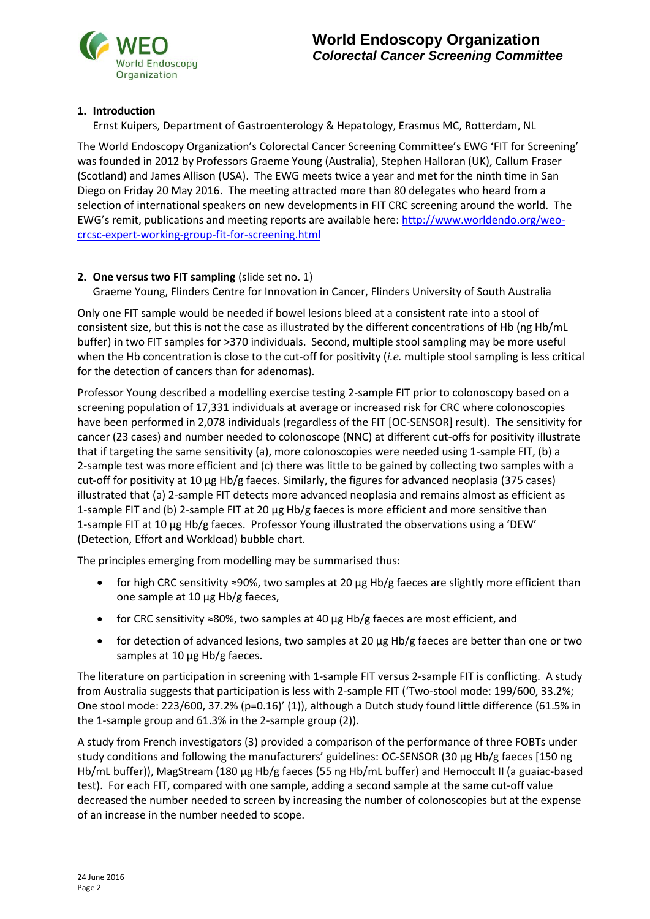## **1. Introduction**

Ernst Kuipers, Department of Gastroenterology & Hepatology, Erasmus MC, Rotterdam, NL

The World Endoscopy Organization's Colorectal Cancer Screening Committee's EWG 'FIT for Screening' was founded in 2012 by Professors Graeme Young (Australia), Stephen Halloran (UK), Callum Fraser (Scotland) and James Allison (USA). The EWG meets twice a year and met for the ninth time in San Diego on Friday 20 May 2016. The meeting attracted more than 80 delegates who heard from a selection of international speakers on new developments in FIT CRC screening around the world. The EWG's remit, publications and meeting reports are available here: [http://www.worldendo.org/weo](http://www.worldendo.org/weo-crcsc-expert-working-group-fit-for-screening.html)[crcsc-expert-working-group-fit-for-screening.html](http://www.worldendo.org/weo-crcsc-expert-working-group-fit-for-screening.html)

## **2. One versus two FIT sampling** (slide set no. 1)

Graeme Young, Flinders Centre for Innovation in Cancer, Flinders University of South Australia

Only one FIT sample would be needed if bowel lesions bleed at a consistent rate into a stool of consistent size, but this is not the case as illustrated by the different concentrations of Hb (ng Hb/mL buffer) in two FIT samples for >370 individuals. Second, multiple stool sampling may be more useful when the Hb concentration is close to the cut-off for positivity (*i.e.* multiple stool sampling is less critical for the detection of cancers than for adenomas).

Professor Young described a modelling exercise testing 2-sample FIT prior to colonoscopy based on a screening population of 17,331 individuals at average or increased risk for CRC where colonoscopies have been performed in 2,078 individuals (regardless of the FIT [OC-SENSOR] result). The sensitivity for cancer (23 cases) and number needed to colonoscope (NNC) at different cut-offs for positivity illustrate that if targeting the same sensitivity (a), more colonoscopies were needed using 1-sample FIT, (b) a 2-sample test was more efficient and (c) there was little to be gained by collecting two samples with a cut-off for positivity at 10 µg Hb/g faeces. Similarly, the figures for advanced neoplasia (375 cases) illustrated that (a) 2-sample FIT detects more advanced neoplasia and remains almost as efficient as 1-sample FIT and (b) 2-sample FIT at 20 µg Hb/g faeces is more efficient and more sensitive than 1-sample FIT at 10 µg Hb/g faeces. Professor Young illustrated the observations using a 'DEW' (Detection, Effort and Workload) bubble chart.

The principles emerging from modelling may be summarised thus:

- for high CRC sensitivity ≈90%, two samples at 20 µg Hb/g faeces are slightly more efficient than one sample at 10 µg Hb/g faeces,
- for CRC sensitivity ≈80%, two samples at 40 µg Hb/g faeces are most efficient, and
- for detection of advanced lesions, two samples at 20 µg Hb/g faeces are better than one or two samples at 10  $\mu$ g Hb/g faeces.

The literature on participation in screening with 1-sample FIT versus 2-sample FIT is conflicting. A study from Australia suggests that participation is less with 2-sample FIT ('Two-stool mode: 199/600, 33.2%; One stool mode: 223/600, 37.2% (p=0.16)' (1)), although a Dutch study found little difference (61.5% in the 1-sample group and 61.3% in the 2-sample group (2)).

A study from French investigators (3) provided a comparison of the performance of three FOBTs under study conditions and following the manufacturers' guidelines: OC-SENSOR (30 µg Hb/g faeces [150 ng Hb/mL buffer)), MagStream (180 µg Hb/g faeces (55 ng Hb/mL buffer) and Hemoccult II (a guaiac-based test). For each FIT, compared with one sample, adding a second sample at the same cut-off value decreased the number needed to screen by increasing the number of colonoscopies but at the expense of an increase in the number needed to scope.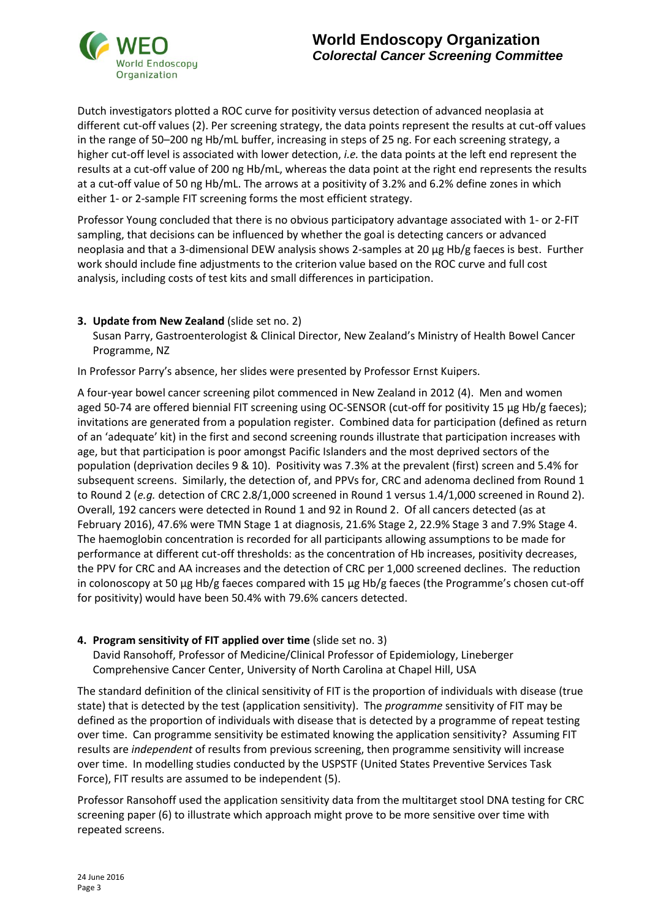

Dutch investigators plotted a ROC curve for positivity versus detection of advanced neoplasia at different cut-off values (2). Per screening strategy, the data points represent the results at cut-off values in the range of 50–200 ng Hb/mL buffer, increasing in steps of 25 ng. For each screening strategy, a higher cut-off level is associated with lower detection, *i.e.* the data points at the left end represent the results at a cut-off value of 200 ng Hb/mL, whereas the data point at the right end represents the results at a cut-off value of 50 ng Hb/mL. The arrows at a positivity of 3.2% and 6.2% define zones in which either 1- or 2-sample FIT screening forms the most efficient strategy.

Professor Young concluded that there is no obvious participatory advantage associated with 1- or 2-FIT sampling, that decisions can be influenced by whether the goal is detecting cancers or advanced neoplasia and that a 3-dimensional DEW analysis shows 2-samples at 20 µg Hb/g faeces is best. Further work should include fine adjustments to the criterion value based on the ROC curve and full cost analysis, including costs of test kits and small differences in participation.

## **3. Update from New Zealand** (slide set no. 2)

Susan Parry, Gastroenterologist & Clinical Director, New Zealand's Ministry of Health Bowel Cancer Programme, NZ

In Professor Parry's absence, her slides were presented by Professor Ernst Kuipers.

A four-year bowel cancer screening pilot commenced in New Zealand in 2012 (4). Men and women aged 50-74 are offered biennial FIT screening using OC-SENSOR (cut-off for positivity 15 µg Hb/g faeces); invitations are generated from a population register. Combined data for participation (defined as return of an 'adequate' kit) in the first and second screening rounds illustrate that participation increases with age, but that participation is poor amongst Pacific Islanders and the most deprived sectors of the population (deprivation deciles 9 & 10). Positivity was 7.3% at the prevalent (first) screen and 5.4% for subsequent screens. Similarly, the detection of, and PPVs for, CRC and adenoma declined from Round 1 to Round 2 (*e.g.* detection of CRC 2.8/1,000 screened in Round 1 versus 1.4/1,000 screened in Round 2). Overall, 192 cancers were detected in Round 1 and 92 in Round 2. Of all cancers detected (as at February 2016), 47.6% were TMN Stage 1 at diagnosis, 21.6% Stage 2, 22.9% Stage 3 and 7.9% Stage 4. The haemoglobin concentration is recorded for all participants allowing assumptions to be made for performance at different cut-off thresholds: as the concentration of Hb increases, positivity decreases, the PPV for CRC and AA increases and the detection of CRC per 1,000 screened declines. The reduction in colonoscopy at 50 µg Hb/g faeces compared with 15 µg Hb/g faeces (the Programme's chosen cut-off for positivity) would have been 50.4% with 79.6% cancers detected.

#### **4. Program sensitivity of FIT applied over time** (slide set no. 3)

David Ransohoff, Professor of Medicine/Clinical Professor of Epidemiology, Lineberger Comprehensive Cancer Center, University of North Carolina at Chapel Hill, USA

The standard definition of the clinical sensitivity of FIT is the proportion of individuals with disease (true state) that is detected by the test (application sensitivity). The *programme* sensitivity of FIT may be defined as the proportion of individuals with disease that is detected by a programme of repeat testing over time. Can programme sensitivity be estimated knowing the application sensitivity? Assuming FIT results are *independent* of results from previous screening, then programme sensitivity will increase over time. In modelling studies conducted by the USPSTF (United States Preventive Services Task Force), FIT results are assumed to be independent (5).

Professor Ransohoff used the application sensitivity data from the multitarget stool DNA testing for CRC screening paper (6) to illustrate which approach might prove to be more sensitive over time with repeated screens.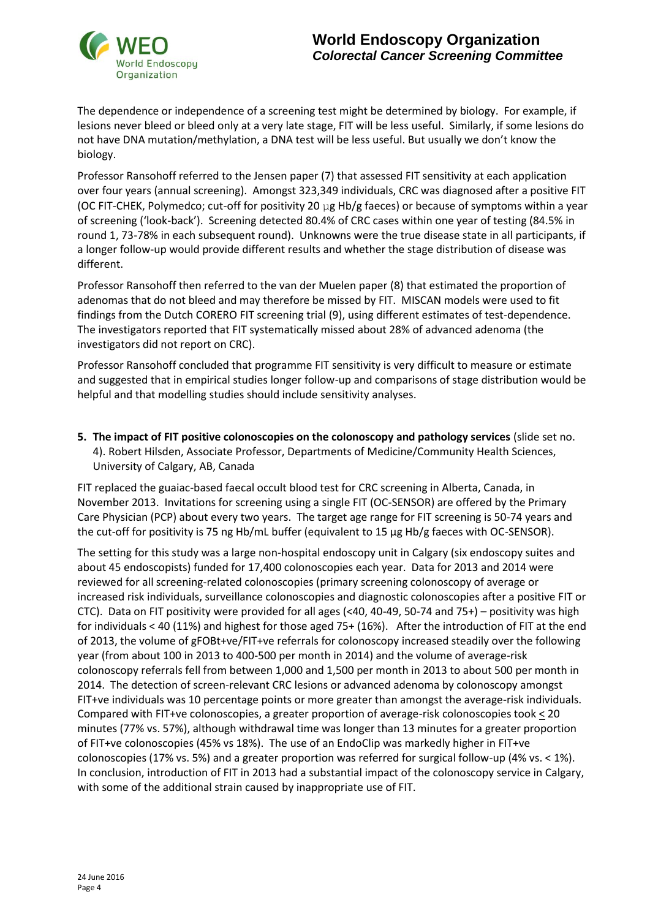

The dependence or independence of a screening test might be determined by biology. For example, if lesions never bleed or bleed only at a very late stage, FIT will be less useful. Similarly, if some lesions do not have DNA mutation/methylation, a DNA test will be less useful. But usually we don't know the biology.

Professor Ransohoff referred to the Jensen paper (7) that assessed FIT sensitivity at each application over four years (annual screening). Amongst 323,349 individuals, CRC was diagnosed after a positive FIT (OC FIT-CHEK, Polymedco; cut-off for positivity 20  $\mu$ g Hb/g faeces) or because of symptoms within a year of screening ('look-back'). Screening detected 80.4% of CRC cases within one year of testing (84.5% in round 1, 73-78% in each subsequent round). Unknowns were the true disease state in all participants, if a longer follow-up would provide different results and whether the stage distribution of disease was different.

Professor Ransohoff then referred to the van der Muelen paper (8) that estimated the proportion of adenomas that do not bleed and may therefore be missed by FIT. MISCAN models were used to fit findings from the Dutch CORERO FIT screening trial (9), using different estimates of test-dependence. The investigators reported that FIT systematically missed about 28% of advanced adenoma (the investigators did not report on CRC).

Professor Ransohoff concluded that programme FIT sensitivity is very difficult to measure or estimate and suggested that in empirical studies longer follow-up and comparisons of stage distribution would be helpful and that modelling studies should include sensitivity analyses.

**5. The impact of FIT positive colonoscopies on the colonoscopy and pathology services** (slide set no. 4). Robert Hilsden, Associate Professor, Departments of Medicine/Community Health Sciences, University of Calgary, AB, Canada

FIT replaced the guaiac-based faecal occult blood test for CRC screening in Alberta, Canada, in November 2013. Invitations for screening using a single FIT (OC-SENSOR) are offered by the Primary Care Physician (PCP) about every two years. The target age range for FIT screening is 50-74 years and the cut-off for positivity is 75 ng Hb/mL buffer (equivalent to 15 µg Hb/g faeces with OC-SENSOR).

The setting for this study was a large non-hospital endoscopy unit in Calgary (six endoscopy suites and about 45 endoscopists) funded for 17,400 colonoscopies each year. Data for 2013 and 2014 were reviewed for all screening-related colonoscopies (primary screening colonoscopy of average or increased risk individuals, surveillance colonoscopies and diagnostic colonoscopies after a positive FIT or CTC). Data on FIT positivity were provided for all ages (<40, 40-49, 50-74 and 75+) – positivity was high for individuals < 40 (11%) and highest for those aged 75+ (16%). After the introduction of FIT at the end of 2013, the volume of gFOBt+ve/FIT+ve referrals for colonoscopy increased steadily over the following year (from about 100 in 2013 to 400-500 per month in 2014) and the volume of average-risk colonoscopy referrals fell from between 1,000 and 1,500 per month in 2013 to about 500 per month in 2014. The detection of screen-relevant CRC lesions or advanced adenoma by colonoscopy amongst FIT+ve individuals was 10 percentage points or more greater than amongst the average-risk individuals. Compared with FIT+ve colonoscopies, a greater proportion of average-risk colonoscopies took < 20 minutes (77% vs. 57%), although withdrawal time was longer than 13 minutes for a greater proportion of FIT+ve colonoscopies (45% vs 18%). The use of an EndoClip was markedly higher in FIT+ve colonoscopies (17% vs. 5%) and a greater proportion was referred for surgical follow-up (4% vs. < 1%). In conclusion, introduction of FIT in 2013 had a substantial impact of the colonoscopy service in Calgary, with some of the additional strain caused by inappropriate use of FIT.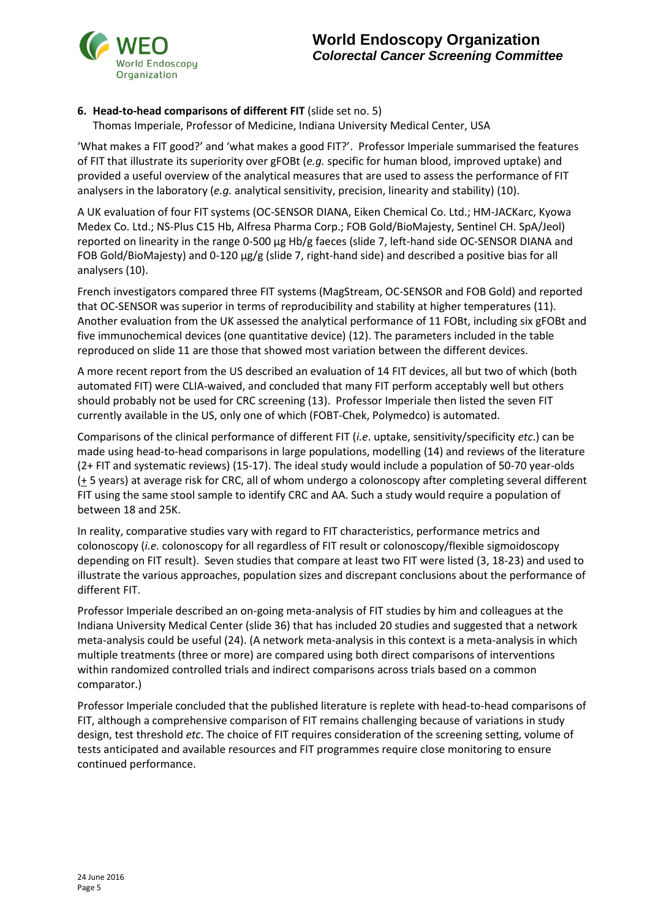

## **6. Head-to-head comparisons of different FIT** (slide set no. 5)

Thomas Imperiale, Professor of Medicine, Indiana University Medical Center, USA

'What makes a FIT good?' and 'what makes a good FIT?'. Professor Imperiale summarised the features of FIT that illustrate its superiority over gFOBt (*e.g.* specific for human blood, improved uptake) and provided a useful overview of the analytical measures that are used to assess the performance of FIT analysers in the laboratory (*e.g.* analytical sensitivity, precision, linearity and stability) (10).

A UK evaluation of four FIT systems (OC-SENSOR DIANA, Eiken Chemical Co. Ltd.; HM-JACKarc, Kyowa Medex Co. Ltd.; NS-Plus C15 Hb, Alfresa Pharma Corp.; FOB Gold/BioMajesty, Sentinel CH. SpA/Jeol) reported on linearity in the range 0-500 µg Hb/g faeces (slide 7, left-hand side OC-SENSOR DIANA and FOB Gold/BioMajesty) and 0-120 µg/g (slide 7, right-hand side) and described a positive bias for all analysers (10).

French investigators compared three FIT systems (MagStream, OC-SENSOR and FOB Gold) and reported that OC-SENSOR was superior in terms of reproducibility and stability at higher temperatures (11). Another evaluation from the UK assessed the analytical performance of 11 FOBt, including six gFOBt and five immunochemical devices (one quantitative device) (12). The parameters included in the table reproduced on slide 11 are those that showed most variation between the different devices.

A more recent report from the US described an evaluation of 14 FIT devices, all but two of which (both automated FIT) were CLIA-waived, and concluded that many FIT perform acceptably well but others should probably not be used for CRC screening (13). Professor Imperiale then listed the seven FIT currently available in the US, only one of which (FOBT-Chek, Polymedco) is automated.

Comparisons of the clinical performance of different FIT (*i.e*. uptake, sensitivity/specificity *etc*.) can be made using head-to-head comparisons in large populations, modelling (14) and reviews of the literature (2+ FIT and systematic reviews) (15-17). The ideal study would include a population of 50-70 year-olds  $($  + 5 years) at average risk for CRC, all of whom undergo a colonoscopy after completing several different FIT using the same stool sample to identify CRC and AA. Such a study would require a population of between 18 and 25K.

In reality, comparative studies vary with regard to FIT characteristics, performance metrics and colonoscopy (*i.e.* colonoscopy for all regardless of FIT result or colonoscopy/flexible sigmoidoscopy depending on FIT result). Seven studies that compare at least two FIT were listed (3, 18-23) and used to illustrate the various approaches, population sizes and discrepant conclusions about the performance of different FIT.

Professor Imperiale described an on-going meta-analysis of FIT studies by him and colleagues at the Indiana University Medical Center (slide 36) that has included 20 studies and suggested that a network meta-analysis could be useful (24). (A network meta-analysis in this context is a meta-analysis in which multiple treatments (three or more) are compared using both direct comparisons of interventions within randomized controlled trials and indirect comparisons across trials based on a common comparator.)

Professor Imperiale concluded that the published literature is replete with head-to-head comparisons of FIT, although a comprehensive comparison of FIT remains challenging because of variations in study design, test threshold *etc*. The choice of FIT requires consideration of the screening setting, volume of tests anticipated and available resources and FIT programmes require close monitoring to ensure continued performance.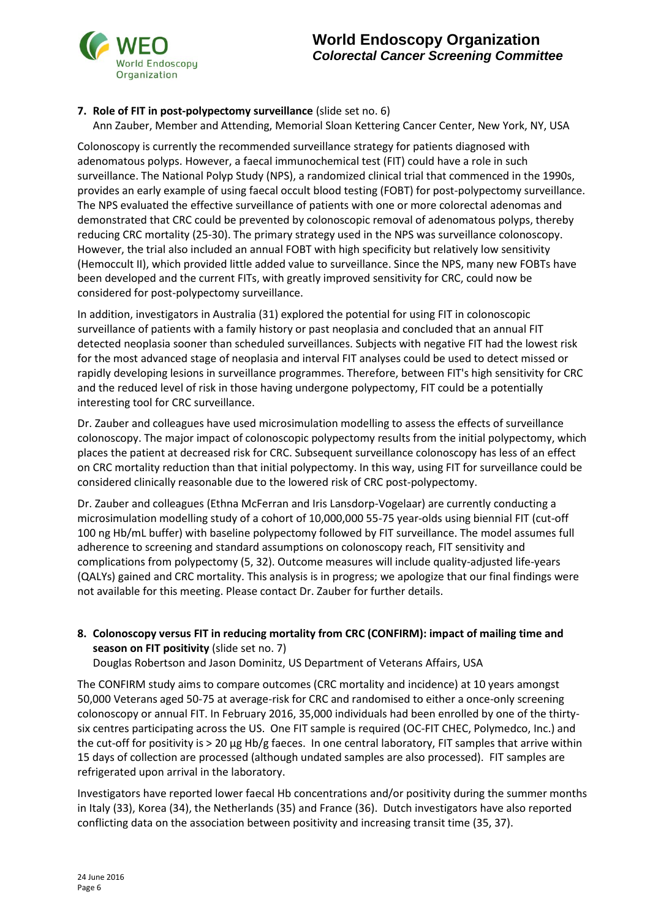# **7. Role of FIT in post-polypectomy surveillance** (slide set no. 6)

Ann Zauber, Member and Attending, Memorial Sloan Kettering Cancer Center, New York, NY, USA

Colonoscopy is currently the recommended surveillance strategy for patients diagnosed with adenomatous polyps. However, a faecal immunochemical test (FIT) could have a role in such surveillance. The National Polyp Study (NPS), a randomized clinical trial that commenced in the 1990s, provides an early example of using faecal occult blood testing (FOBT) for post-polypectomy surveillance. The NPS evaluated the effective surveillance of patients with one or more colorectal adenomas and demonstrated that CRC could be prevented by colonoscopic removal of adenomatous polyps, thereby reducing CRC mortality (25-30). The primary strategy used in the NPS was surveillance colonoscopy. However, the trial also included an annual FOBT with high specificity but relatively low sensitivity (Hemoccult II), which provided little added value to surveillance. Since the NPS, many new FOBTs have been developed and the current FITs, with greatly improved sensitivity for CRC, could now be considered for post-polypectomy surveillance.

In addition, investigators in Australia (31) explored the potential for using FIT in colonoscopic surveillance of patients with a family history or past neoplasia and concluded that an annual FIT detected neoplasia sooner than scheduled surveillances. Subjects with negative FIT had the lowest risk for the most advanced stage of neoplasia and interval FIT analyses could be used to detect missed or rapidly developing lesions in surveillance programmes. Therefore, between FIT's high sensitivity for CRC and the reduced level of risk in those having undergone polypectomy, FIT could be a potentially interesting tool for CRC surveillance.

Dr. Zauber and colleagues have used microsimulation modelling to assess the effects of surveillance colonoscopy. The major impact of colonoscopic polypectomy results from the initial polypectomy, which places the patient at decreased risk for CRC. Subsequent surveillance colonoscopy has less of an effect on CRC mortality reduction than that initial polypectomy. In this way, using FIT for surveillance could be considered clinically reasonable due to the lowered risk of CRC post-polypectomy.

Dr. Zauber and colleagues (Ethna McFerran and Iris Lansdorp-Vogelaar) are currently conducting a microsimulation modelling study of a cohort of 10,000,000 55-75 year-olds using biennial FIT (cut-off 100 ng Hb/mL buffer) with baseline polypectomy followed by FIT surveillance. The model assumes full adherence to screening and standard assumptions on colonoscopy reach, FIT sensitivity and complications from polypectomy (5, 32). Outcome measures will include quality-adjusted life-years (QALYs) gained and CRC mortality. This analysis is in progress; we apologize that our final findings were not available for this meeting. Please contact Dr. Zauber for further details.

## **8. Colonoscopy versus FIT in reducing mortality from CRC (CONFIRM): impact of mailing time and season on FIT positivity** (slide set no. 7)

Douglas Robertson and Jason Dominitz, US Department of Veterans Affairs, USA

The CONFIRM study aims to compare outcomes (CRC mortality and incidence) at 10 years amongst 50,000 Veterans aged 50-75 at average-risk for CRC and randomised to either a once-only screening colonoscopy or annual FIT. In February 2016, 35,000 individuals had been enrolled by one of the thirtysix centres participating across the US. One FIT sample is required (OC-FIT CHEC, Polymedco, Inc.) and the cut-off for positivity is > 20 µg Hb/g faeces. In one central laboratory, FIT samples that arrive within 15 days of collection are processed (although undated samples are also processed). FIT samples are refrigerated upon arrival in the laboratory.

Investigators have reported lower faecal Hb concentrations and/or positivity during the summer months in Italy (33), Korea (34), the Netherlands (35) and France (36). Dutch investigators have also reported conflicting data on the association between positivity and increasing transit time (35, 37).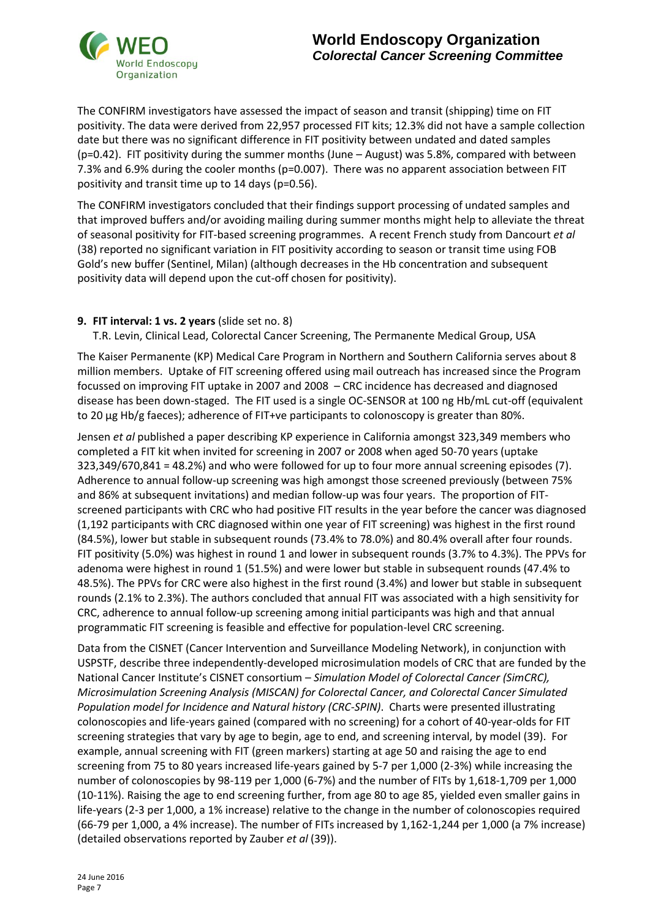

The CONFIRM investigators have assessed the impact of season and transit (shipping) time on FIT positivity. The data were derived from 22,957 processed FIT kits; 12.3% did not have a sample collection date but there was no significant difference in FIT positivity between undated and dated samples (p=0.42). FIT positivity during the summer months (June – August) was 5.8%, compared with between 7.3% and 6.9% during the cooler months (p=0.007). There was no apparent association between FIT positivity and transit time up to 14 days (p=0.56).

The CONFIRM investigators concluded that their findings support processing of undated samples and that improved buffers and/or avoiding mailing during summer months might help to alleviate the threat of seasonal positivity for FIT-based screening programmes. A recent French study from Dancourt *et al*  (38) reported no significant variation in FIT positivity according to season or transit time using FOB Gold's new buffer (Sentinel, Milan) (although decreases in the Hb concentration and subsequent positivity data will depend upon the cut-off chosen for positivity).

## **9. FIT interval: 1 vs. 2 years** (slide set no. 8)

T.R. Levin, Clinical Lead, Colorectal Cancer Screening, The Permanente Medical Group, USA

The Kaiser Permanente (KP) Medical Care Program in Northern and Southern California serves about 8 million members. Uptake of FIT screening offered using mail outreach has increased since the Program focussed on improving FIT uptake in 2007 and 2008 – CRC incidence has decreased and diagnosed disease has been down-staged. The FIT used is a single OC-SENSOR at 100 ng Hb/mL cut-off (equivalent to 20 µg Hb/g faeces); adherence of FIT+ve participants to colonoscopy is greater than 80%.

Jensen *et al* published a paper describing KP experience in California amongst 323,349 members who completed a FIT kit when invited for screening in 2007 or 2008 when aged 50-70 years (uptake 323,349/670,841 = 48.2%) and who were followed for up to four more annual screening episodes (7). Adherence to annual follow-up screening was high amongst those screened previously (between 75% and 86% at subsequent invitations) and median follow-up was four years. The proportion of FITscreened participants with CRC who had positive FIT results in the year before the cancer was diagnosed (1,192 participants with CRC diagnosed within one year of FIT screening) was highest in the first round (84.5%), lower but stable in subsequent rounds (73.4% to 78.0%) and 80.4% overall after four rounds. FIT positivity (5.0%) was highest in round 1 and lower in subsequent rounds (3.7% to 4.3%). The PPVs for adenoma were highest in round 1 (51.5%) and were lower but stable in subsequent rounds (47.4% to 48.5%). The PPVs for CRC were also highest in the first round (3.4%) and lower but stable in subsequent rounds (2.1% to 2.3%). The authors concluded that annual FIT was associated with a high sensitivity for CRC, adherence to annual follow-up screening among initial participants was high and that annual programmatic FIT screening is feasible and effective for population-level CRC screening.

Data from the CISNET (Cancer Intervention and Surveillance Modeling Network), in conjunction with USPSTF, describe three independently-developed microsimulation models of CRC that are funded by the National Cancer Institute's CISNET consortium – *Simulation Model of Colorectal Cancer (SimCRC), Microsimulation Screening Analysis (MISCAN) for Colorectal Cancer, and Colorectal Cancer Simulated Population model for Incidence and Natural history (CRC-SPIN)*. Charts were presented illustrating colonoscopies and life-years gained (compared with no screening) for a cohort of 40-year-olds for FIT screening strategies that vary by age to begin, age to end, and screening interval, by model (39). For example, annual screening with FIT (green markers) starting at age 50 and raising the age to end screening from 75 to 80 years increased life-years gained by 5-7 per 1,000 (2-3%) while increasing the number of colonoscopies by 98-119 per 1,000 (6-7%) and the number of FITs by 1,618-1,709 per 1,000 (10-11%). Raising the age to end screening further, from age 80 to age 85, yielded even smaller gains in life-years (2-3 per 1,000, a 1% increase) relative to the change in the number of colonoscopies required (66-79 per 1,000, a 4% increase). The number of FITs increased by 1,162-1,244 per 1,000 (a 7% increase) (detailed observations reported by Zauber *et al* (39)).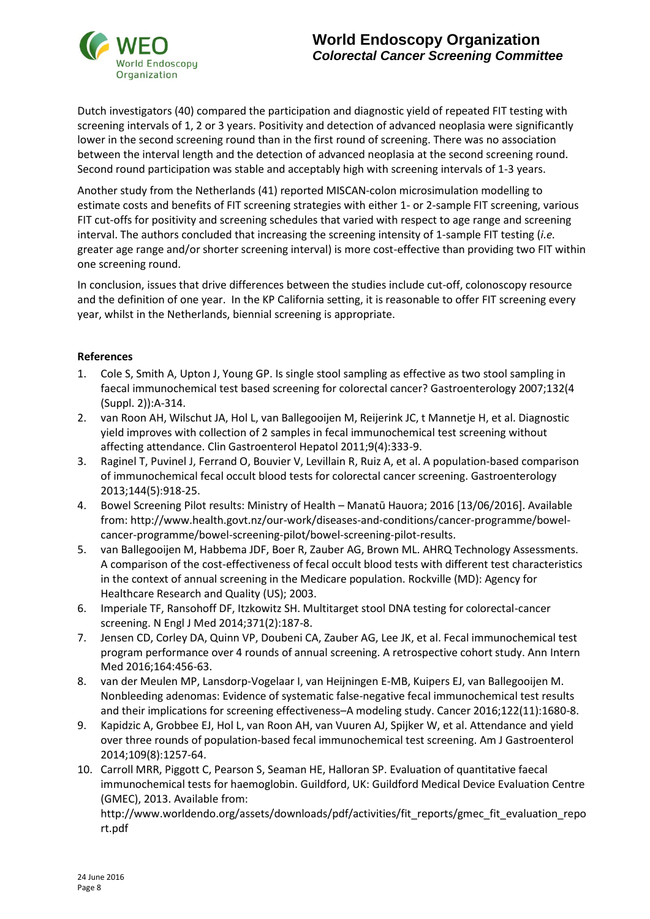

Dutch investigators (40) compared the participation and diagnostic yield of repeated FIT testing with screening intervals of 1, 2 or 3 years. Positivity and detection of advanced neoplasia were significantly lower in the second screening round than in the first round of screening. There was no association between the interval length and the detection of advanced neoplasia at the second screening round. Second round participation was stable and acceptably high with screening intervals of 1-3 years.

Another study from the Netherlands (41) reported MISCAN-colon microsimulation modelling to estimate costs and benefits of FIT screening strategies with either 1- or 2-sample FIT screening, various FIT cut-offs for positivity and screening schedules that varied with respect to age range and screening interval. The authors concluded that increasing the screening intensity of 1-sample FIT testing (*i.e.* greater age range and/or shorter screening interval) is more cost-effective than providing two FIT within one screening round.

In conclusion, issues that drive differences between the studies include cut-off, colonoscopy resource and the definition of one year. In the KP California setting, it is reasonable to offer FIT screening every year, whilst in the Netherlands, biennial screening is appropriate.

## **References**

- 1. Cole S, Smith A, Upton J, Young GP. Is single stool sampling as effective as two stool sampling in faecal immunochemical test based screening for colorectal cancer? Gastroenterology 2007;132(4 (Suppl. 2)):A-314.
- 2. van Roon AH, Wilschut JA, Hol L, van Ballegooijen M, Reijerink JC, t Mannetje H, et al. Diagnostic yield improves with collection of 2 samples in fecal immunochemical test screening without affecting attendance. Clin Gastroenterol Hepatol 2011;9(4):333-9.
- 3. Raginel T, Puvinel J, Ferrand O, Bouvier V, Levillain R, Ruiz A, et al. A population-based comparison of immunochemical fecal occult blood tests for colorectal cancer screening. Gastroenterology 2013;144(5):918-25.
- 4. Bowel Screening Pilot results: Ministry of Health Manatū Hauora; 2016 [13/06/2016]. Available from: http://www.health.govt.nz/our-work/diseases-and-conditions/cancer-programme/bowelcancer-programme/bowel-screening-pilot/bowel-screening-pilot-results.
- 5. van Ballegooijen M, Habbema JDF, Boer R, Zauber AG, Brown ML. AHRQ Technology Assessments. A comparison of the cost-effectiveness of fecal occult blood tests with different test characteristics in the context of annual screening in the Medicare population. Rockville (MD): Agency for Healthcare Research and Quality (US); 2003.
- 6. Imperiale TF, Ransohoff DF, Itzkowitz SH. Multitarget stool DNA testing for colorectal-cancer screening. N Engl J Med 2014;371(2):187-8.
- 7. Jensen CD, Corley DA, Quinn VP, Doubeni CA, Zauber AG, Lee JK, et al. Fecal immunochemical test program performance over 4 rounds of annual screening. A retrospective cohort study. Ann Intern Med 2016;164:456-63.
- 8. van der Meulen MP, Lansdorp-Vogelaar I, van Heijningen E-MB, Kuipers EJ, van Ballegooijen M. Nonbleeding adenomas: Evidence of systematic false-negative fecal immunochemical test results and their implications for screening effectiveness–A modeling study. Cancer 2016;122(11):1680-8.
- 9. Kapidzic A, Grobbee EJ, Hol L, van Roon AH, van Vuuren AJ, Spijker W, et al. Attendance and yield over three rounds of population-based fecal immunochemical test screening. Am J Gastroenterol 2014;109(8):1257-64.
- 10. Carroll MRR, Piggott C, Pearson S, Seaman HE, Halloran SP. Evaluation of quantitative faecal immunochemical tests for haemoglobin. Guildford, UK: Guildford Medical Device Evaluation Centre (GMEC), 2013. Available from:

http://www.worldendo.org/assets/downloads/pdf/activities/fit\_reports/gmec\_fit\_evaluation\_repo rt.pdf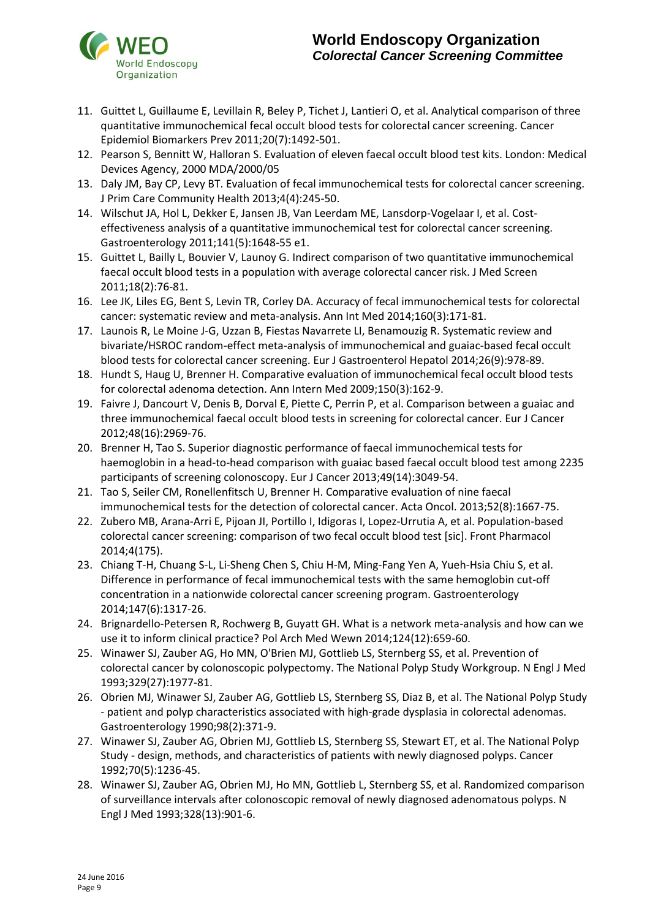

## **World Endoscopy Organization** *Colorectal Cancer Screening Committee*

- 11. Guittet L, Guillaume E, Levillain R, Beley P, Tichet J, Lantieri O, et al. Analytical comparison of three quantitative immunochemical fecal occult blood tests for colorectal cancer screening. Cancer Epidemiol Biomarkers Prev 2011;20(7):1492-501.
- 12. Pearson S, Bennitt W, Halloran S. Evaluation of eleven faecal occult blood test kits. London: Medical Devices Agency, 2000 MDA/2000/05
- 13. Daly JM, Bay CP, Levy BT. Evaluation of fecal immunochemical tests for colorectal cancer screening. J Prim Care Community Health 2013;4(4):245-50.
- 14. Wilschut JA, Hol L, Dekker E, Jansen JB, Van Leerdam ME, Lansdorp-Vogelaar I, et al. Costeffectiveness analysis of a quantitative immunochemical test for colorectal cancer screening. Gastroenterology 2011;141(5):1648-55 e1.
- 15. Guittet L, Bailly L, Bouvier V, Launoy G. Indirect comparison of two quantitative immunochemical faecal occult blood tests in a population with average colorectal cancer risk. J Med Screen 2011;18(2):76-81.
- 16. Lee JK, Liles EG, Bent S, Levin TR, Corley DA. Accuracy of fecal immunochemical tests for colorectal cancer: systematic review and meta-analysis. Ann Int Med 2014;160(3):171-81.
- 17. Launois R, Le Moine J-G, Uzzan B, Fiestas Navarrete LI, Benamouzig R. Systematic review and bivariate/HSROC random-effect meta-analysis of immunochemical and guaiac-based fecal occult blood tests for colorectal cancer screening. Eur J Gastroenterol Hepatol 2014;26(9):978-89.
- 18. Hundt S, Haug U, Brenner H. Comparative evaluation of immunochemical fecal occult blood tests for colorectal adenoma detection. Ann Intern Med 2009;150(3):162-9.
- 19. Faivre J, Dancourt V, Denis B, Dorval E, Piette C, Perrin P, et al. Comparison between a guaiac and three immunochemical faecal occult blood tests in screening for colorectal cancer. Eur J Cancer 2012;48(16):2969-76.
- 20. Brenner H, Tao S. Superior diagnostic performance of faecal immunochemical tests for haemoglobin in a head-to-head comparison with guaiac based faecal occult blood test among 2235 participants of screening colonoscopy. Eur J Cancer 2013;49(14):3049-54.
- 21. Tao S, Seiler CM, Ronellenfitsch U, Brenner H. Comparative evaluation of nine faecal immunochemical tests for the detection of colorectal cancer. Acta Oncol. 2013;52(8):1667-75.
- 22. Zubero MB, Arana-Arri E, Pijoan JI, Portillo I, Idigoras I, Lopez-Urrutia A, et al. Population-based colorectal cancer screening: comparison of two fecal occult blood test [sic]. Front Pharmacol 2014;4(175).
- 23. Chiang T-H, Chuang S-L, Li-Sheng Chen S, Chiu H-M, Ming-Fang Yen A, Yueh-Hsia Chiu S, et al. Difference in performance of fecal immunochemical tests with the same hemoglobin cut-off concentration in a nationwide colorectal cancer screening program. Gastroenterology 2014;147(6):1317-26.
- 24. Brignardello-Petersen R, Rochwerg B, Guyatt GH. What is a network meta-analysis and how can we use it to inform clinical practice? Pol Arch Med Wewn 2014;124(12):659-60.
- 25. Winawer SJ, Zauber AG, Ho MN, O'Brien MJ, Gottlieb LS, Sternberg SS, et al. Prevention of colorectal cancer by colonoscopic polypectomy. The National Polyp Study Workgroup. N Engl J Med 1993;329(27):1977-81.
- 26. Obrien MJ, Winawer SJ, Zauber AG, Gottlieb LS, Sternberg SS, Diaz B, et al. The National Polyp Study - patient and polyp characteristics associated with high-grade dysplasia in colorectal adenomas. Gastroenterology 1990;98(2):371-9.
- 27. Winawer SJ, Zauber AG, Obrien MJ, Gottlieb LS, Sternberg SS, Stewart ET, et al. The National Polyp Study - design, methods, and characteristics of patients with newly diagnosed polyps. Cancer 1992;70(5):1236-45.
- 28. Winawer SJ, Zauber AG, Obrien MJ, Ho MN, Gottlieb L, Sternberg SS, et al. Randomized comparison of surveillance intervals after colonoscopic removal of newly diagnosed adenomatous polyps. N Engl J Med 1993;328(13):901-6.